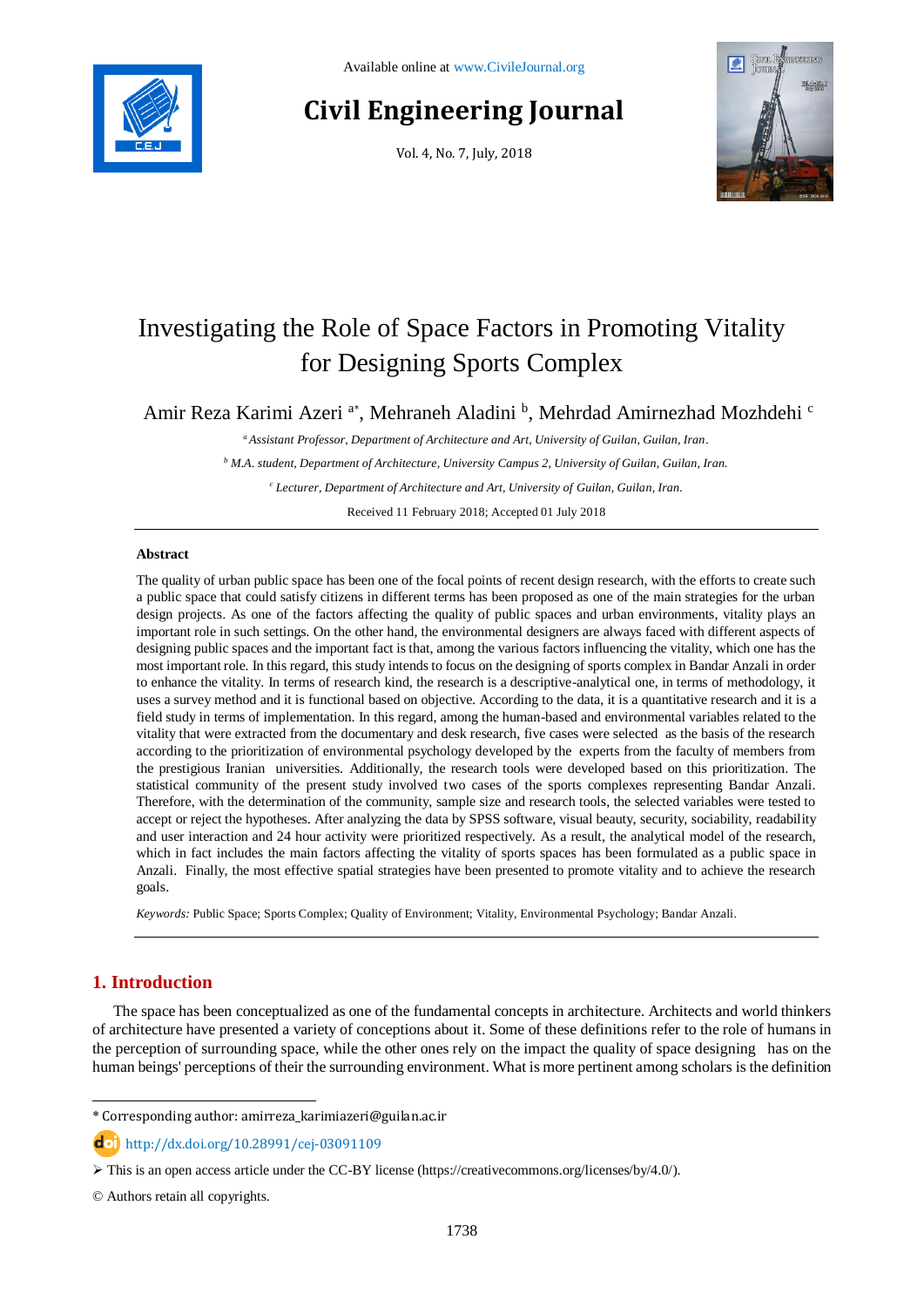

# **Civil Engineering Journal**

Vol. 4, No. 7, July, 2018



# Investigating the Role of Space Factors in Promoting Vitality for Designing Sports Complex

Amir Reza Karimi Azeri<sup>a\*</sup>, Mehraneh Aladini <sup>b</sup>, Mehrdad Amirnezhad Mozhdehi <sup>c</sup>

*<sup>a</sup> Assistant Professor, Department of Architecture and Art, University of Guilan, Guilan, Iran.*

*<sup>b</sup> M.A. student, Department of Architecture, University Campus 2, University of Guilan, Guilan, Iran.*

*<sup>c</sup> Lecturer, Department of Architecture and Art, University of Guilan, Guilan, Iran.*

Received 11 February 2018; Accepted 01 July 2018

## **Abstract**

The quality of urban public space has been one of the focal points of recent design research, with the efforts to create such a public space that could satisfy citizens in different terms has been proposed as one of the main strategies for the urban design projects. As one of the factors affecting the quality of public spaces and urban environments, vitality plays an important role in such settings. On the other hand, the environmental designers are always faced with different aspects of designing public spaces and the important fact is that, among the various factors influencing the vitality, which one has the most important role. In this regard, this study intends to focus on the designing of sports complex in Bandar Anzali in order to enhance the vitality. In terms of research kind, the research is a descriptive-analytical one, in terms of methodology, it uses a survey method and it is functional based on objective. According to the data, it is a quantitative research and it is a field study in terms of implementation. In this regard, among the human-based and environmental variables related to the vitality that were extracted from the documentary and desk research, five cases were selected as the basis of the research according to the prioritization of environmental psychology developed by the experts from the faculty of members from the prestigious Iranian universities. Additionally, the research tools were developed based on this prioritization. The statistical community of the present study involved two cases of the sports complexes representing Bandar Anzali. Therefore, with the determination of the community, sample size and research tools, the selected variables were tested to accept or reject the hypotheses. After analyzing the data by SPSS software, visual beauty, security, sociability, readability and user interaction and 24 hour activity were prioritized respectively. As a result, the analytical model of the research, which in fact includes the main factors affecting the vitality of sports spaces has been formulated as a public space in Anzali. Finally, the most effective spatial strategies have been presented to promote vitality and to achieve the research goals.

*Keywords:* Public Space; Sports Complex; Quality of Environment; Vitality, Environmental Psychology; Bandar Anzali.

# **1. Introduction**

-

The space has been conceptualized as one of the fundamental concepts in architecture. Architects and world thinkers of architecture have presented a variety of conceptions about it. Some of these definitions refer to the role of humans in the perception of surrounding space, while the other ones rely on the impact the quality of space designing has on the human beings' perceptions of their the surrounding environment. What is more pertinent among scholars is the definition

<sup>\*</sup> Corresponding author: amirreza\_karimiazeri@guilan.ac.ir

http://dx.doi.org/10.28991/cej-03091109

 $\triangleright$  This is an open access article under the CC-BY license [\(https://creativecommons.org/licenses/by/4.0/\)](https://creativecommons.org/licenses/by/4.0/).

<sup>©</sup> Authors retain all copyrights.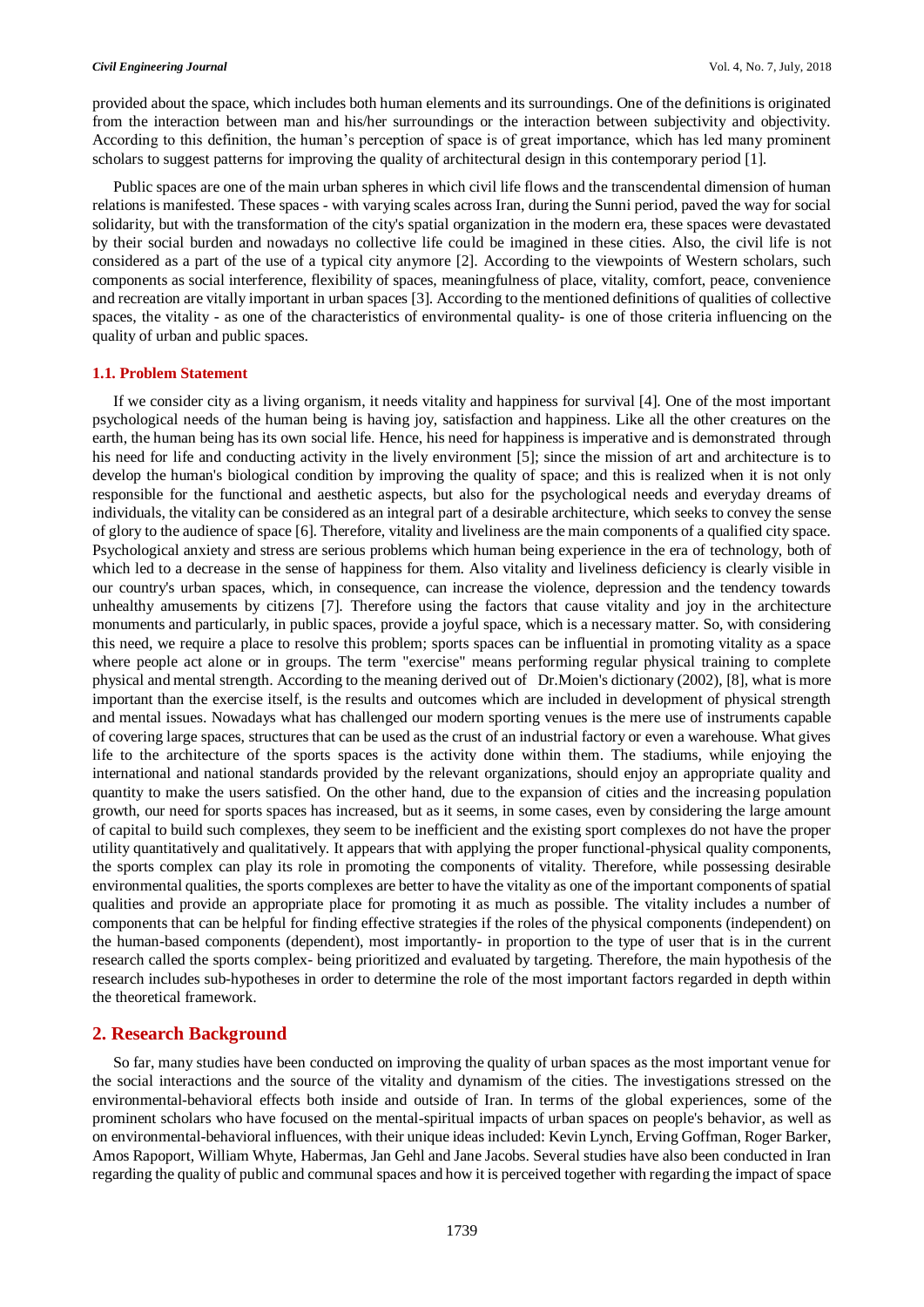#### *Civil Engineering Journal* Vol. 4, No. 7, July, 2018

provided about the space, which includes both human elements and its surroundings. One of the definitions is originated from the interaction between man and his/her surroundings or the interaction between subjectivity and objectivity. According to this definition, the human's perception of space is of great importance, which has led many prominent scholars to suggest patterns for improving the quality of architectural design in this contemporary period [1].

Public spaces are one of the main urban spheres in which civil life flows and the transcendental dimension of human relations is manifested. These spaces - with varying scales across Iran, during the Sunni period, paved the way for social solidarity, but with the transformation of the city's spatial organization in the modern era, these spaces were devastated by their social burden and nowadays no collective life could be imagined in these cities. Also, the civil life is not considered as a part of the use of a typical city anymore [2]. According to the viewpoints of Western scholars, such components as social interference, flexibility of spaces, meaningfulness of place, vitality, comfort, peace, convenience and recreation are vitally important in urban spaces [3]. According to the mentioned definitions of qualities of collective spaces, the vitality - as one of the characteristics of environmental quality- is one of those criteria influencing on the quality of urban and public spaces.

#### **1.1. Problem Statement**

If we consider city as a living organism, it needs vitality and happiness for survival [4]. One of the most important psychological needs of the human being is having joy, satisfaction and happiness. Like all the other creatures on the earth, the human being has its own social life. Hence, his need for happiness is imperative and is demonstrated through his need for life and conducting activity in the lively environment [5]; since the mission of art and architecture is to develop the human's biological condition by improving the quality of space; and this is realized when it is not only responsible for the functional and aesthetic aspects, but also for the psychological needs and everyday dreams of individuals, the vitality can be considered as an integral part of a desirable architecture, which seeks to convey the sense of glory to the audience of space [6]. Therefore, vitality and liveliness are the main components of a qualified city space. Psychological anxiety and stress are serious problems which human being experience in the era of technology, both of which led to a decrease in the sense of happiness for them. Also vitality and liveliness deficiency is clearly visible in our country's urban spaces, which, in consequence, can increase the violence, depression and the tendency towards unhealthy amusements by citizens [7]. Therefore using the factors that cause vitality and joy in the architecture monuments and particularly, in public spaces, provide a joyful space, which is a necessary matter. So, with considering this need, we require a place to resolve this problem; sports spaces can be influential in promoting vitality as a space where people act alone or in groups. The term "exercise" means performing regular physical training to complete physical and mental strength. According to the meaning derived out of Dr.Moien's dictionary (2002), [8], what is more important than the exercise itself, is the results and outcomes which are included in development of physical strength and mental issues. Nowadays what has challenged our modern sporting venues is the mere use of instruments capable of covering large spaces, structures that can be used as the crust of an industrial factory or even a warehouse. What gives life to the architecture of the sports spaces is the activity done within them. The stadiums, while enjoying the international and national standards provided by the relevant organizations, should enjoy an appropriate quality and quantity to make the users satisfied. On the other hand, due to the expansion of cities and the increasing population growth, our need for sports spaces has increased, but as it seems, in some cases, even by considering the large amount of capital to build such complexes, they seem to be inefficient and the existing sport complexes do not have the proper utility quantitatively and qualitatively. It appears that with applying the proper functional-physical quality components, the sports complex can play its role in promoting the components of vitality. Therefore, while possessing desirable environmental qualities, the sports complexes are better to have the vitality as one of the important components of spatial qualities and provide an appropriate place for promoting it as much as possible. The vitality includes a number of components that can be helpful for finding effective strategies if the roles of the physical components (independent) on the human-based components (dependent), most importantly- in proportion to the type of user that is in the current research called the sports complex- being prioritized and evaluated by targeting. Therefore, the main hypothesis of the research includes sub-hypotheses in order to determine the role of the most important factors regarded in depth within the theoretical framework.

## **2. Research Background**

So far, many studies have been conducted on improving the quality of urban spaces as the most important venue for the social interactions and the source of the vitality and dynamism of the cities. The investigations stressed on the environmental-behavioral effects both inside and outside of Iran. In terms of the global experiences, some of the prominent scholars who have focused on the mental-spiritual impacts of urban spaces on people's behavior, as well as on environmental-behavioral influences, with their unique ideas included: Kevin Lynch, Erving Goffman, Roger Barker, Amos Rapoport, William Whyte, Habermas, Jan Gehl and Jane Jacobs. Several studies have also been conducted in Iran regarding the quality of public and communal spaces and how it is perceived together with regarding the impact of space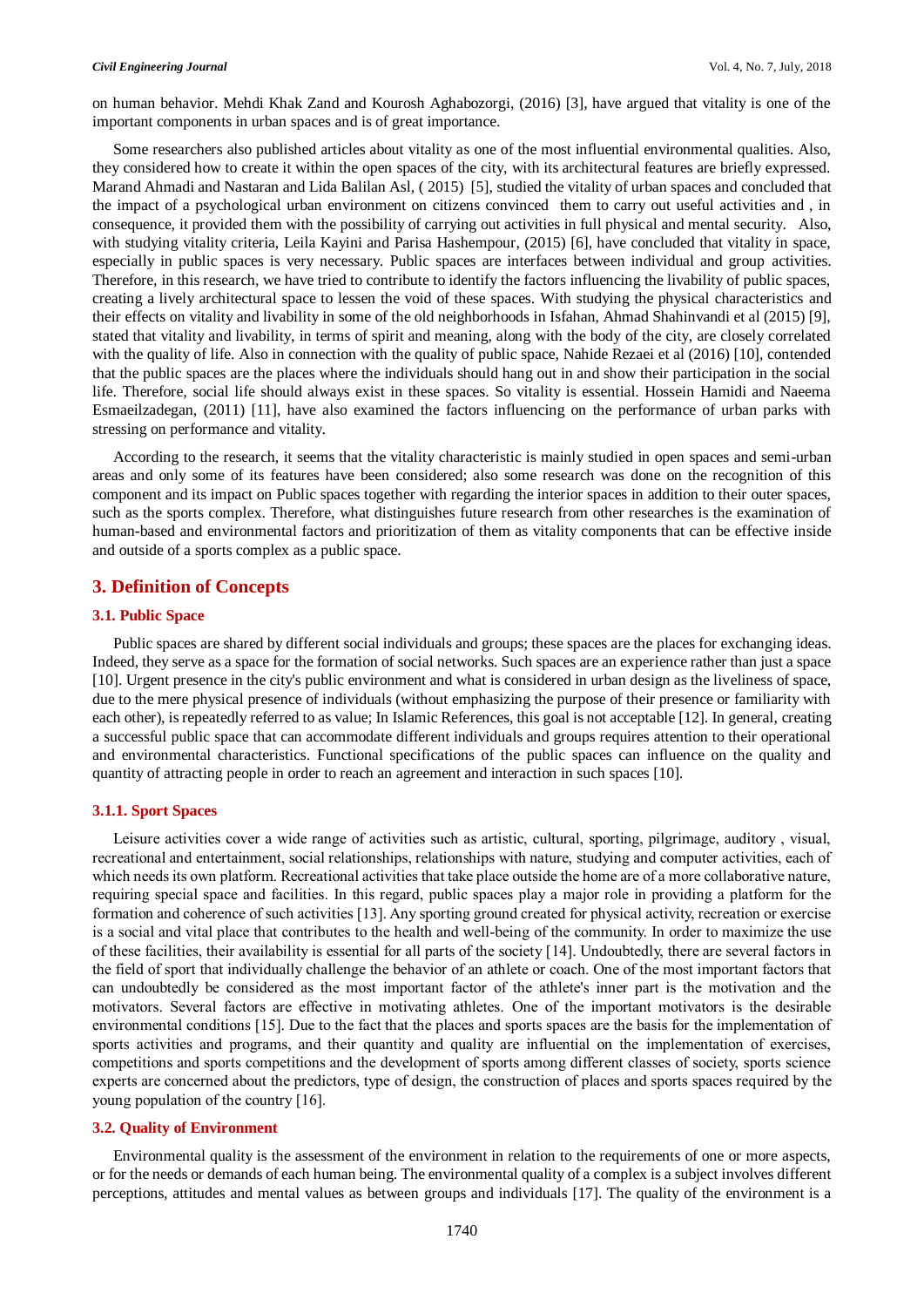on human behavior. Mehdi Khak Zand and Kourosh Aghabozorgi, (2016) [3], have argued that vitality is one of the important components in urban spaces and is of great importance.

Some researchers also published articles about vitality as one of the most influential environmental qualities. Also, they considered how to create it within the open spaces of the city, with its architectural features are briefly expressed. Marand Ahmadi and Nastaran and Lida Balilan Asl, ( 2015) [5], studied the vitality of urban spaces and concluded that the impact of a psychological urban environment on citizens convinced them to carry out useful activities and , in consequence, it provided them with the possibility of carrying out activities in full physical and mental security. Also, with studying vitality criteria, Leila Kayini and Parisa Hashempour, (2015) [6], have concluded that vitality in space, especially in public spaces is very necessary. Public spaces are interfaces between individual and group activities. Therefore, in this research, we have tried to contribute to identify the factors influencing the livability of public spaces, creating a lively architectural space to lessen the void of these spaces. With studying the physical characteristics and their effects on vitality and livability in some of the old neighborhoods in Isfahan, Ahmad Shahinvandi et al (2015) [9], stated that vitality and livability, in terms of spirit and meaning, along with the body of the city, are closely correlated with the quality of life. Also in connection with the quality of public space, Nahide Rezaei et al (2016) [10], contended that the public spaces are the places where the individuals should hang out in and show their participation in the social life. Therefore, social life should always exist in these spaces. So vitality is essential. Hossein Hamidi and Naeema Esmaeilzadegan, (2011) [11], have also examined the factors influencing on the performance of urban parks with stressing on performance and vitality.

According to the research, it seems that the vitality characteristic is mainly studied in open spaces and semi-urban areas and only some of its features have been considered; also some research was done on the recognition of this component and its impact on Public spaces together with regarding the interior spaces in addition to their outer spaces, such as the sports complex. Therefore, what distinguishes future research from other researches is the examination of human-based and environmental factors and prioritization of them as vitality components that can be effective inside and outside of a sports complex as a public space.

## **3. Definition of Concepts**

#### **3.1. Public Space**

Public spaces are shared by different social individuals and groups; these spaces are the places for exchanging ideas. Indeed, they serve as a space for the formation of social networks. Such spaces are an experience rather than just a space [10]. Urgent presence in the city's public environment and what is considered in urban design as the liveliness of space, due to the mere physical presence of individuals (without emphasizing the purpose of their presence or familiarity with each other), is repeatedly referred to as value; In Islamic References, this goal is not acceptable [12]. In general, creating a successful public space that can accommodate different individuals and groups requires attention to their operational and environmental characteristics. Functional specifications of the public spaces can influence on the quality and quantity of attracting people in order to reach an agreement and interaction in such spaces [10].

## **3.1.1. Sport Spaces**

Leisure activities cover a wide range of activities such as artistic, cultural, sporting, pilgrimage, auditory , visual, recreational and entertainment, social relationships, relationships with nature, studying and computer activities, each of which needs its own platform. Recreational activities that take place outside the home are of a more collaborative nature, requiring special space and facilities. In this regard, public spaces play a major role in providing a platform for the formation and coherence of such activities [13]. Any sporting ground created for physical activity, recreation or exercise is a social and vital place that contributes to the health and well-being of the community. In order to maximize the use of these facilities, their availability is essential for all parts of the society [14]. Undoubtedly, there are several factors in the field of sport that individually challenge the behavior of an athlete or coach. One of the most important factors that can undoubtedly be considered as the most important factor of the athlete's inner part is the motivation and the motivators. Several factors are effective in motivating athletes. One of the important motivators is the desirable environmental conditions [15]. Due to the fact that the places and sports spaces are the basis for the implementation of sports activities and programs, and their quantity and quality are influential on the implementation of exercises, competitions and sports competitions and the development of sports among different classes of society, sports science experts are concerned about the predictors, type of design, the construction of places and sports spaces required by the young population of the country [16].

### **3.2. Quality of Environment**

Environmental quality is the assessment of the environment in relation to the requirements of one or more aspects, or for the needs or demands of each human being. The environmental quality of a complex is a subject involves different perceptions, attitudes and mental values as between groups and individuals [17]. The quality of the environment is a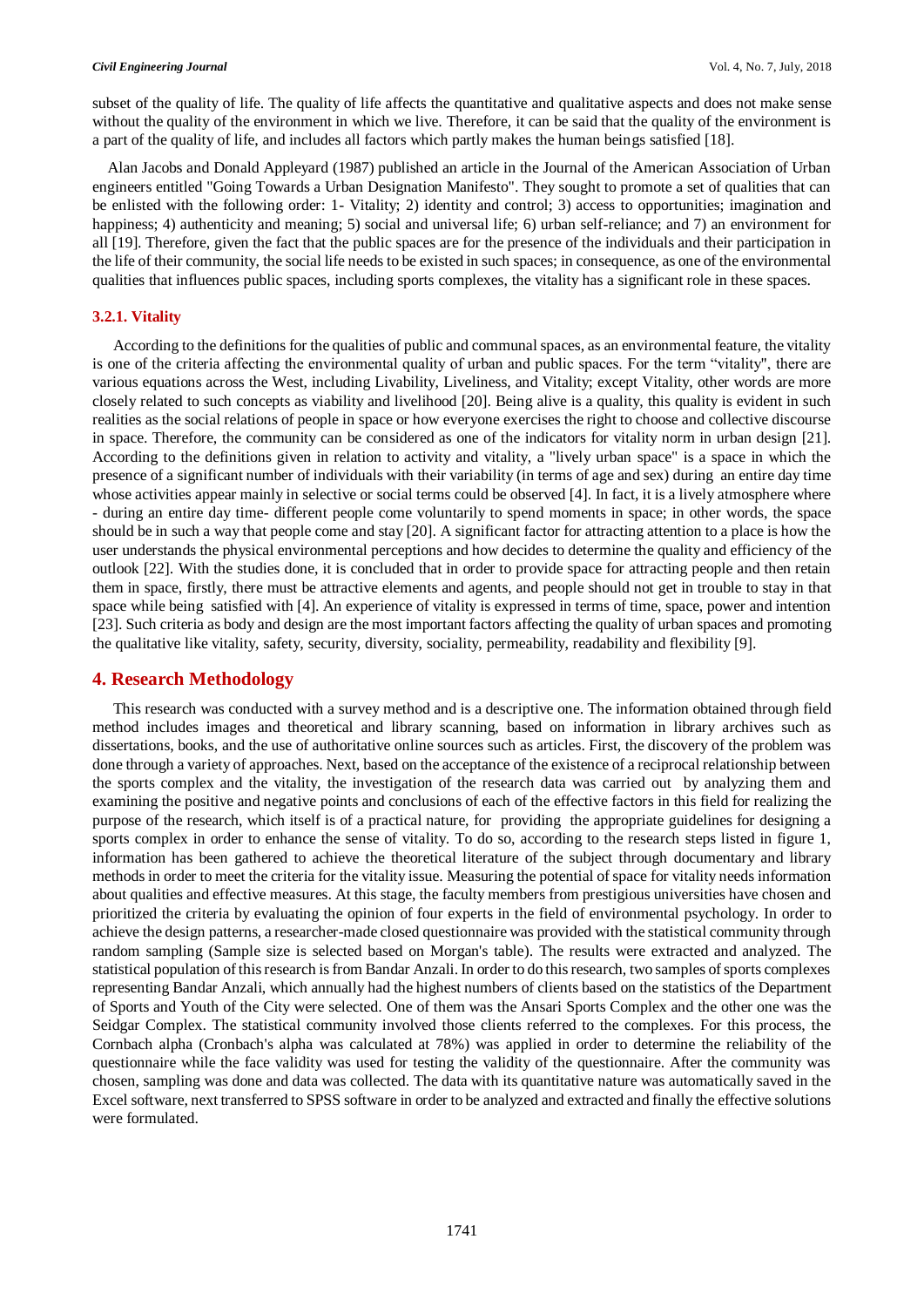#### *Civil Engineering Journal* Vol. 4, No. 7, July, 2018

subset of the quality of life. The quality of life affects the quantitative and qualitative aspects and does not make sense without the quality of the environment in which we live. Therefore, it can be said that the quality of the environment is a part of the quality of life, and includes all factors which partly makes the human beings satisfied [18].

Alan Jacobs and Donald Appleyard (1987) published an article in the Journal of the American Association of Urban engineers entitled "Going Towards a Urban Designation Manifesto". They sought to promote a set of qualities that can be enlisted with the following order: 1- Vitality; 2) identity and control; 3) access to opportunities; imagination and happiness; 4) authenticity and meaning; 5) social and universal life; 6) urban self-reliance; and 7) an environment for all [19]. Therefore, given the fact that the public spaces are for the presence of the individuals and their participation in the life of their community, the social life needs to be existed in such spaces; in consequence, as one of the environmental qualities that influences public spaces, including sports complexes, the vitality has a significant role in these spaces.

## **3.2.1. Vitality**

According to the definitions for the qualities of public and communal spaces, as an environmental feature, the vitality is one of the criteria affecting the environmental quality of urban and public spaces. For the term "vitality", there are various equations across the West, including Livability, Liveliness, and Vitality; except Vitality, other words are more closely related to such concepts as viability and livelihood [20]. Being alive is a quality, this quality is evident in such realities as the social relations of people in space or how everyone exercises the right to choose and collective discourse in space. Therefore, the community can be considered as one of the indicators for vitality norm in urban design [21]. According to the definitions given in relation to activity and vitality, a "lively urban space" is a space in which the presence of a significant number of individuals with their variability (in terms of age and sex) during an entire day time whose activities appear mainly in selective or social terms could be observed [4]. In fact, it is a lively atmosphere where - during an entire day time- different people come voluntarily to spend moments in space; in other words, the space should be in such a way that people come and stay [20]. A significant factor for attracting attention to a place is how the user understands the physical environmental perceptions and how decides to determine the quality and efficiency of the outlook [22]. With the studies done, it is concluded that in order to provide space for attracting people and then retain them in space, firstly, there must be attractive elements and agents, and people should not get in trouble to stay in that space while being satisfied with [4]. An experience of vitality is expressed in terms of time, space, power and intention [23]. Such criteria as body and design are the most important factors affecting the quality of urban spaces and promoting the qualitative like vitality, safety, security, diversity, sociality, permeability, readability and flexibility [9].

## **4. Research Methodology**

This research was conducted with a survey method and is a descriptive one. The information obtained through field method includes images and theoretical and library scanning, based on information in library archives such as dissertations, books, and the use of authoritative online sources such as articles. First, the discovery of the problem was done through a variety of approaches. Next, based on the acceptance of the existence of a reciprocal relationship between the sports complex and the vitality, the investigation of the research data was carried out by analyzing them and examining the positive and negative points and conclusions of each of the effective factors in this field for realizing the purpose of the research, which itself is of a practical nature, for providing the appropriate guidelines for designing a sports complex in order to enhance the sense of vitality. To do so, according to the research steps listed in figure 1, information has been gathered to achieve the theoretical literature of the subject through documentary and library methods in order to meet the criteria for the vitality issue. Measuring the potential of space for vitality needs information about qualities and effective measures. At this stage, the faculty members from prestigious universities have chosen and prioritized the criteria by evaluating the opinion of four experts in the field of environmental psychology. In order to achieve the design patterns, a researcher-made closed questionnaire was provided with the statistical community through random sampling (Sample size is selected based on Morgan's table). The results were extracted and analyzed. The statistical population of this research is from Bandar Anzali. In order to do this research, two samples of sports complexes representing Bandar Anzali, which annually had the highest numbers of clients based on the statistics of the Department of Sports and Youth of the City were selected. One of them was the Ansari Sports Complex and the other one was the Seidgar Complex. The statistical community involved those clients referred to the complexes. For this process, the Cornbach alpha (Cronbach's alpha was calculated at 78%) was applied in order to determine the reliability of the questionnaire while the face validity was used for testing the validity of the questionnaire. After the community was chosen, sampling was done and data was collected. The data with its quantitative nature was automatically saved in the Excel software, next transferred to SPSS software in order to be analyzed and extracted and finally the effective solutions were formulated.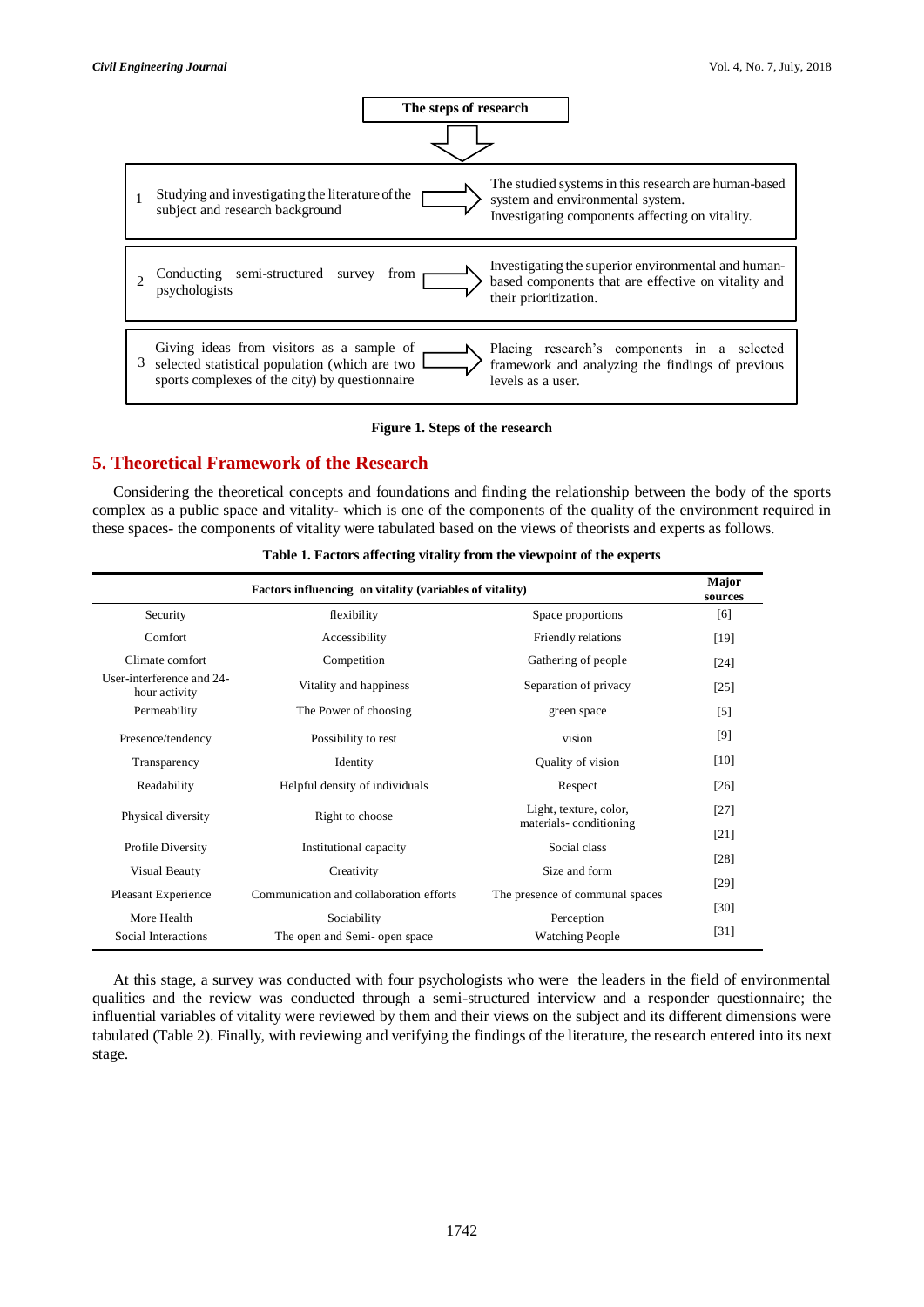

#### **Figure 1. Steps of the research**

# **5. Theoretical Framework of the Research**

Considering the theoretical concepts and foundations and finding the relationship between the body of the sports complex as a public space and vitality- which is one of the components of the quality of the environment required in these spaces- the components of vitality were tabulated based on the views of theorists and experts as follows.

| Factors influencing on vitality (variables of vitality) |                                                 |                                 |                    |  |
|---------------------------------------------------------|-------------------------------------------------|---------------------------------|--------------------|--|
| Security<br>flexibility                                 |                                                 | Space proportions               | [6]                |  |
| Comfort                                                 | Accessibility                                   | Friendly relations              | $[19]$             |  |
| Climate comfort                                         | Competition                                     | Gathering of people             | $\lceil 24 \rceil$ |  |
| User-interference and 24-<br>hour activity              | Vitality and happiness<br>Separation of privacy |                                 | [25]               |  |
| Permeability                                            | The Power of choosing<br>green space            |                                 | $[5]$              |  |
| Presence/tendency                                       | vision<br>Possibility to rest                   |                                 | [9]                |  |
| Transparency                                            | Quality of vision<br>Identity                   |                                 | [10]               |  |
| Readability                                             | Helpful density of individuals<br>Respect       |                                 | [26]               |  |
| Physical diversity                                      | Right to choose                                 | Light, texture, color,          | $[27]$             |  |
|                                                         |                                                 | materials-conditioning          | $[21]$             |  |
| Profile Diversity                                       | Institutional capacity                          | Social class                    |                    |  |
| Visual Beauty                                           | Size and form<br>Creativity                     |                                 | [29]               |  |
| Pleasant Experience                                     | Communication and collaboration efforts         | The presence of communal spaces |                    |  |
| More Health                                             | Sociability                                     | Perception                      | [30]               |  |
| Social Interactions                                     | The open and Semi- open space                   | <b>Watching People</b>          | [31]               |  |

**Table 1. Factors affecting vitality from the viewpoint of the experts**

At this stage, a survey was conducted with four psychologists who were the leaders in the field of environmental qualities and the review was conducted through a semi-structured interview and a responder questionnaire; the influential variables of vitality were reviewed by them and their views on the subject and its different dimensions were tabulated (Table 2). Finally, with reviewing and verifying the findings of the literature, the research entered into its next stage.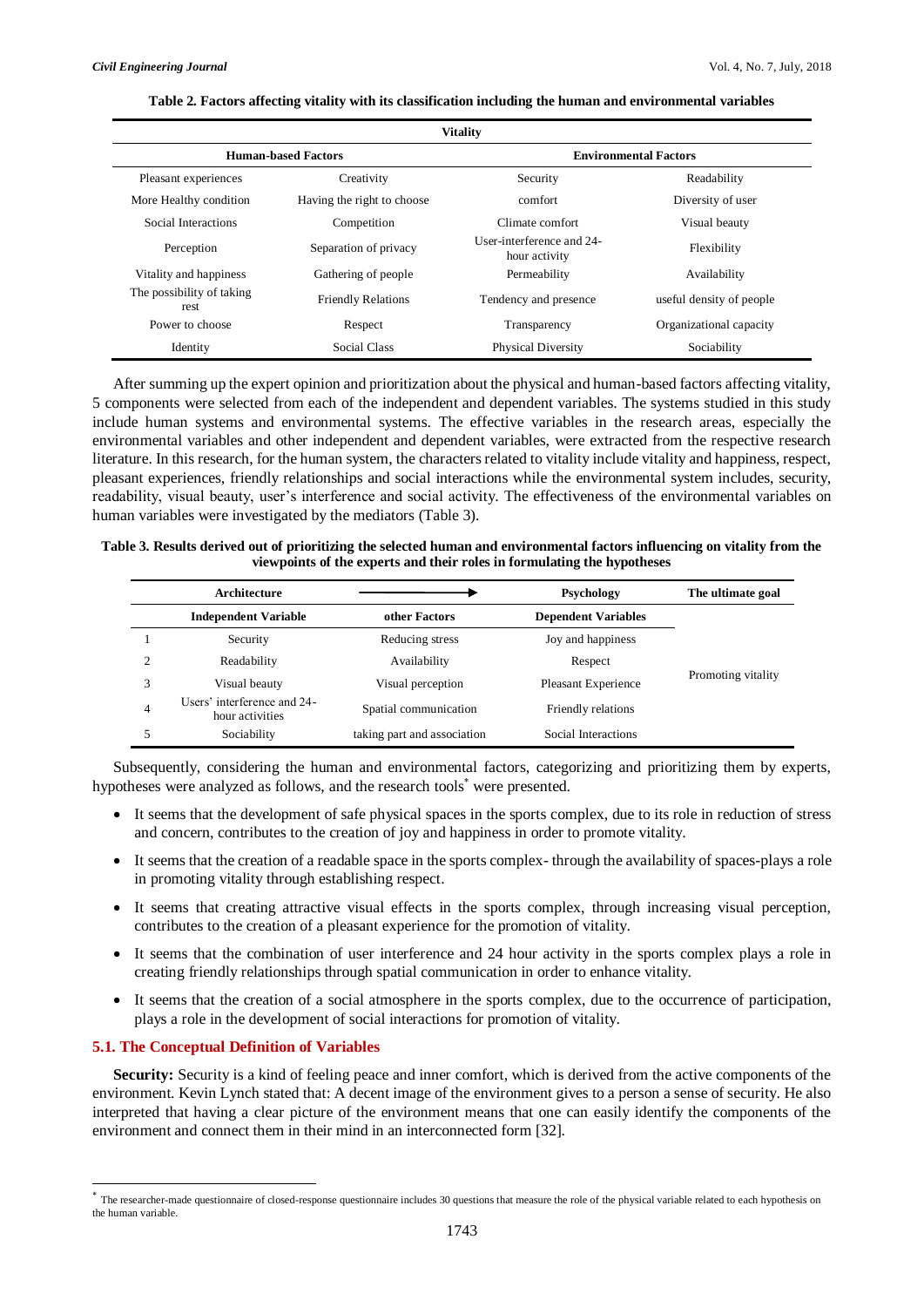| <b>Vitality</b>                   |                                                          |                              |                          |  |
|-----------------------------------|----------------------------------------------------------|------------------------------|--------------------------|--|
|                                   | <b>Human-based Factors</b>                               | <b>Environmental Factors</b> |                          |  |
| Pleasant experiences              | Creativity                                               | Security                     | Readability              |  |
| More Healthy condition            | Having the right to choose                               | comfort                      | Diversity of user        |  |
| Social Interactions               | Competition                                              | Climate comfort              | Visual beauty            |  |
| Perception                        | Separation of privacy                                    |                              | Flexibility              |  |
| Vitality and happiness            | Gathering of people                                      | Permeability                 | Availability             |  |
| The possibility of taking<br>rest | <b>Friendly Relations</b>                                | Tendency and presence        | useful density of people |  |
| Power to choose                   | Transparency<br>Respect                                  |                              | Organizational capacity  |  |
| Identity                          | Social Class<br><b>Physical Diversity</b><br>Sociability |                              |                          |  |

#### **Table 2. Factors affecting vitality with its classification including the human and environmental variables**

After summing up the expert opinion and prioritization about the physical and human-based factors affecting vitality, 5 components were selected from each of the independent and dependent variables. The systems studied in this study include human systems and environmental systems. The effective variables in the research areas, especially the environmental variables and other independent and dependent variables, were extracted from the respective research literature. In this research, for the human system, the characters related to vitality include vitality and happiness, respect, pleasant experiences, friendly relationships and social interactions while the environmental system includes, security, readability, visual beauty, user's interference and social activity. The effectiveness of the environmental variables on human variables were investigated by the mediators (Table 3).

### **Table 3. Results derived out of prioritizing the selected human and environmental factors influencing on vitality from the viewpoints of the experts and their roles in formulating the hypotheses**

|   | Architecture                                   |                             | Psychology                 | The ultimate goal  |
|---|------------------------------------------------|-----------------------------|----------------------------|--------------------|
|   | <b>Independent Variable</b>                    | other Factors               | <b>Dependent Variables</b> |                    |
|   | Security                                       | Reducing stress             | Joy and happiness          |                    |
|   | Readability                                    | Availability                | Respect                    |                    |
|   | Visual beauty                                  | Visual perception           | Pleasant Experience        | Promoting vitality |
| 4 | Users' interference and 24-<br>hour activities | Spatial communication       | Friendly relations         |                    |
|   | Sociability                                    | taking part and association | Social Interactions        |                    |

Subsequently, considering the human and environmental factors, categorizing and prioritizing them by experts, hypotheses were analyzed as follows, and the research tools\* were presented.

- It seems that the development of safe physical spaces in the sports complex, due to its role in reduction of stress and concern, contributes to the creation of joy and happiness in order to promote vitality.
- It seems that the creation of a readable space in the sports complex- through the availability of spaces-plays a role in promoting vitality through establishing respect.
- It seems that creating attractive visual effects in the sports complex, through increasing visual perception, contributes to the creation of a pleasant experience for the promotion of vitality.
- It seems that the combination of user interference and 24 hour activity in the sports complex plays a role in creating friendly relationships through spatial communication in order to enhance vitality.
- It seems that the creation of a social atmosphere in the sports complex, due to the occurrence of participation, plays a role in the development of social interactions for promotion of vitality.

## **5.1. The Conceptual Definition of Variables**

-

**Security:** Security is a kind of feeling peace and inner comfort, which is derived from the active components of the environment. Kevin Lynch stated that: A decent image of the environment gives to a person a sense of security. He also interpreted that having a clear picture of the environment means that one can easily identify the components of the environment and connect them in their mind in an interconnected form [32].

<sup>\*</sup> The researcher-made questionnaire of closed-response questionnaire includes 30 questions that measure the role of the physical variable related to each hypothesis on the human variable.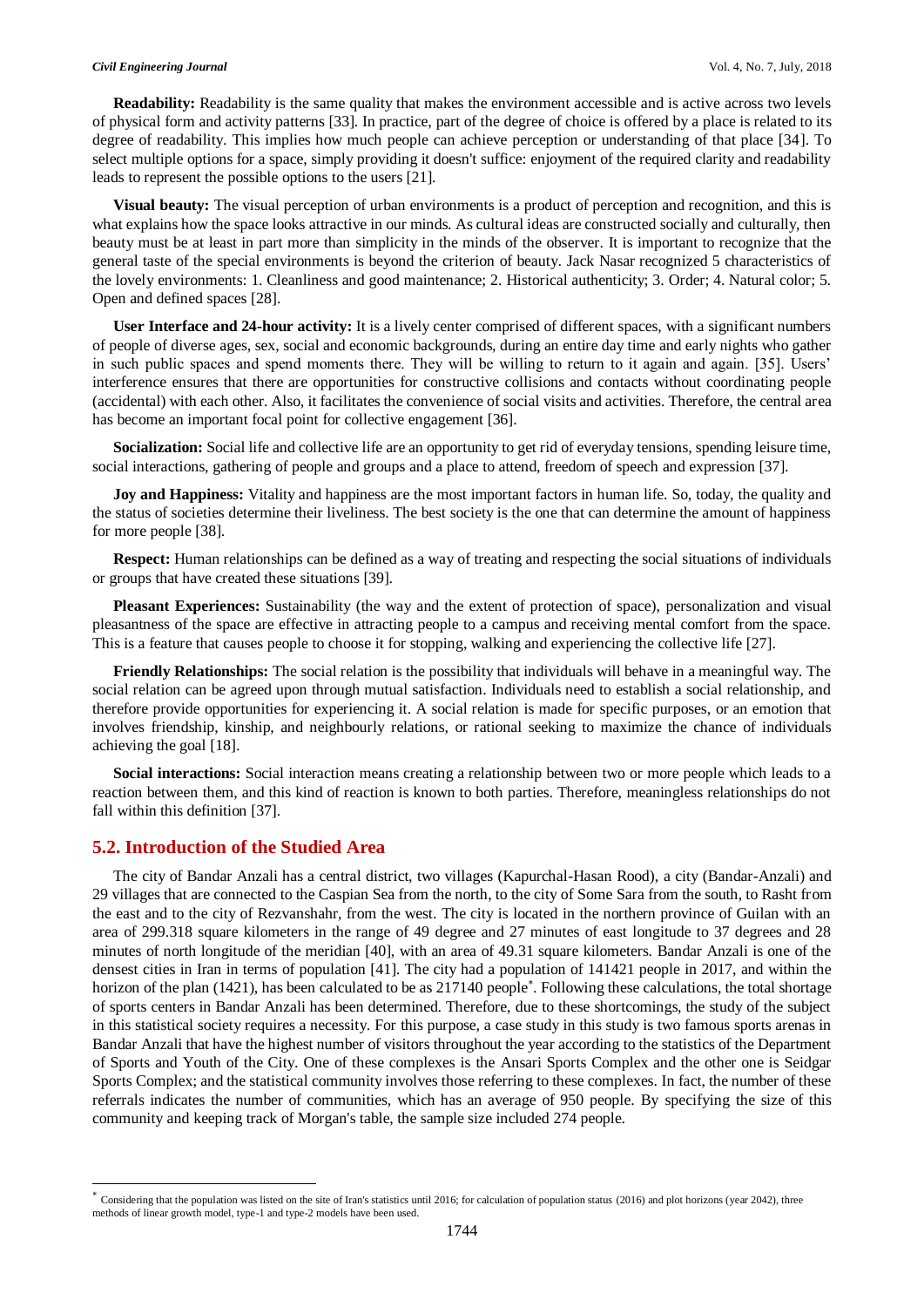**Readability:** Readability is the same quality that makes the environment accessible and is active across two levels of physical form and activity patterns [33]. In practice, part of the degree of choice is offered by a place is related to its degree of readability. This implies how much people can achieve perception or understanding of that place [34]. To select multiple options for a space, simply providing it doesn't suffice: enjoyment of the required clarity and readability leads to represent the possible options to the users [21].

**Visual beauty:** The visual perception of urban environments is a product of perception and recognition, and this is what explains how the space looks attractive in our minds. As cultural ideas are constructed socially and culturally, then beauty must be at least in part more than simplicity in the minds of the observer. It is important to recognize that the general taste of the special environments is beyond the criterion of beauty. Jack Nasar recognized 5 characteristics of the lovely environments: 1. Cleanliness and good maintenance; 2. Historical authenticity; 3. Order; 4. Natural color; 5. Open and defined spaces [28].

**User Interface and 24-hour activity:** It is a lively center comprised of different spaces, with a significant numbers of people of diverse ages, sex, social and economic backgrounds, during an entire day time and early nights who gather in such public spaces and spend moments there. They will be willing to return to it again and again. [35]. Users' interference ensures that there are opportunities for constructive collisions and contacts without coordinating people (accidental) with each other. Also, it facilitates the convenience of social visits and activities. Therefore, the central area has become an important focal point for collective engagement [36].

**Socialization:** Social life and collective life are an opportunity to get rid of everyday tensions, spending leisure time, social interactions, gathering of people and groups and a place to attend, freedom of speech and expression [37].

**Joy and Happiness:** Vitality and happiness are the most important factors in human life. So, today, the quality and the status of societies determine their liveliness. The best society is the one that can determine the amount of happiness for more people [38].

**Respect:** Human relationships can be defined as a way of treating and respecting the social situations of individuals or groups that have created these situations [39].

**Pleasant Experiences:** Sustainability (the way and the extent of protection of space), personalization and visual pleasantness of the space are effective in attracting people to a campus and receiving mental comfort from the space. This is a feature that causes people to choose it for stopping, walking and experiencing the collective life [27].

**Friendly Relationships:** The social relation is the possibility that individuals will behave in a meaningful way. The social relation can be agreed upon through mutual satisfaction. Individuals need to establish a social relationship, and therefore provide opportunities for experiencing it. A social relation is made for specific purposes, or an emotion that involves friendship, kinship, and neighbourly relations, or rational seeking to maximize the chance of individuals achieving the goal [18].

**Social interactions:** Social interaction means creating a relationship between two or more people which leads to a reaction between them, and this kind of reaction is known to both parties. Therefore, meaningless relationships do not fall within this definition [37].

# **5.2. Introduction of the Studied Area**

-

The city of Bandar Anzali has a central district, two villages (Kapurchal-Hasan Rood), a city (Bandar-Anzali) and 29 villages that are connected to the Caspian Sea from the north, to the city of Some Sara from the south, to Rasht from the east and to the city of Rezvanshahr, from the west. The city is located in the northern province of Guilan with an area of 299.318 square kilometers in the range of 49 degree and 27 minutes of east longitude to 37 degrees and 28 minutes of north longitude of the meridian [40], with an area of 49.31 square kilometers. Bandar Anzali is one of the densest cities in Iran in terms of population [41]. The city had a population of 141421 people in 2017, and within the horizon of the plan (1421), has been calculated to be as 217140 people\* . Following these calculations, the total shortage of sports centers in Bandar Anzali has been determined. Therefore, due to these shortcomings, the study of the subject in this statistical society requires a necessity. For this purpose, a case study in this study is two famous sports arenas in Bandar Anzali that have the highest number of visitors throughout the year according to the statistics of the Department of Sports and Youth of the City. One of these complexes is the Ansari Sports Complex and the other one is Seidgar Sports Complex; and the statistical community involves those referring to these complexes. In fact, the number of these referrals indicates the number of communities, which has an average of 950 people. By specifying the size of this community and keeping track of Morgan's table, the sample size included 274 people.

<sup>&</sup>lt;sup>\*</sup> Considering that the population was listed on the site of Iran's statistics until 2016; for calculation of population status (2016) and plot horizons (year 2042), three methods of linear growth model, type-1 and type-2 models have been used.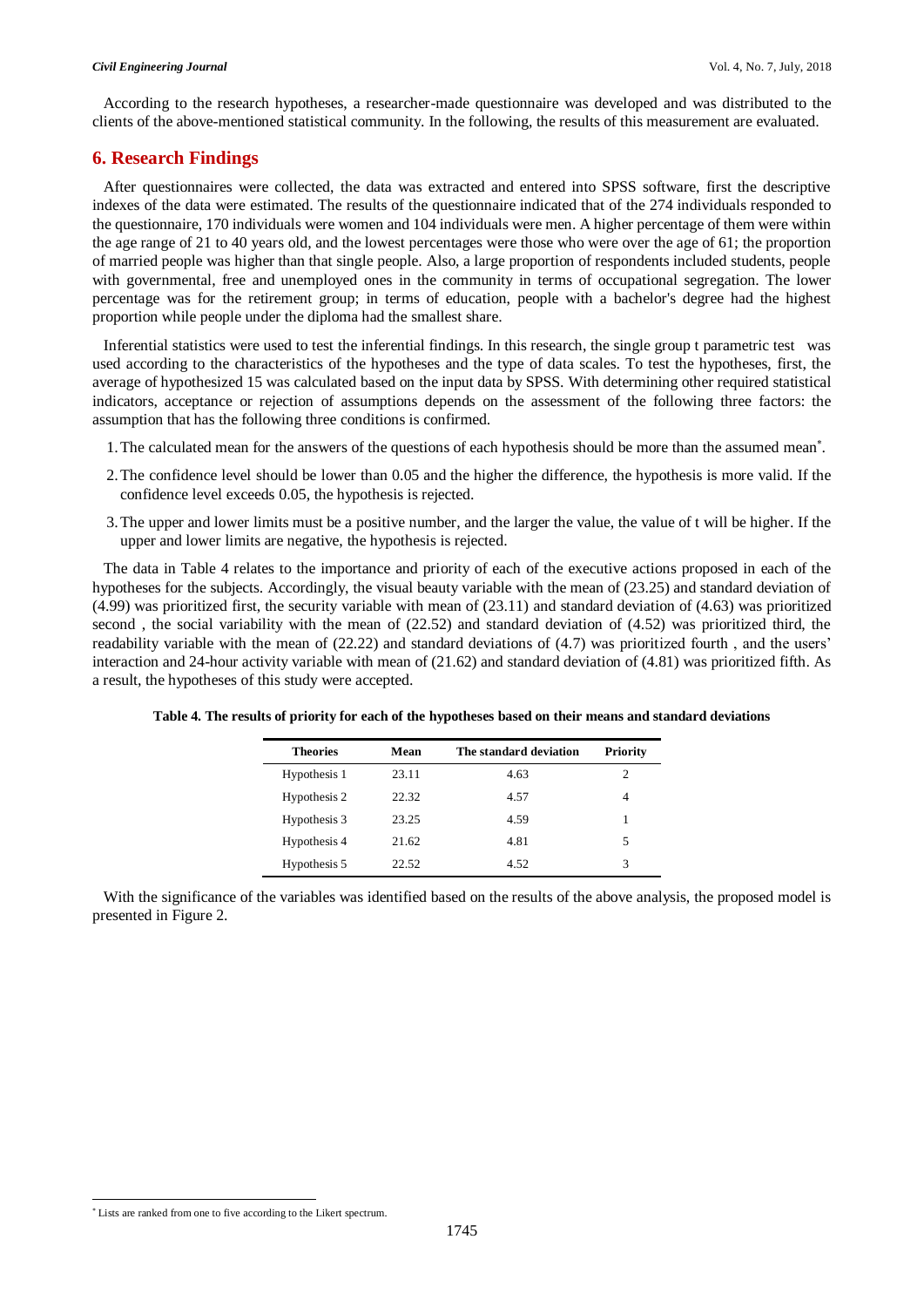According to the research hypotheses, a researcher-made questionnaire was developed and was distributed to the clients of the above-mentioned statistical community. In the following, the results of this measurement are evaluated.

# **6. Research Findings**

After questionnaires were collected, the data was extracted and entered into SPSS software, first the descriptive indexes of the data were estimated. The results of the questionnaire indicated that of the 274 individuals responded to the questionnaire, 170 individuals were women and 104 individuals were men. A higher percentage of them were within the age range of 21 to 40 years old, and the lowest percentages were those who were over the age of 61; the proportion of married people was higher than that single people. Also, a large proportion of respondents included students, people with governmental, free and unemployed ones in the community in terms of occupational segregation. The lower percentage was for the retirement group; in terms of education, people with a bachelor's degree had the highest proportion while people under the diploma had the smallest share.

Inferential statistics were used to test the inferential findings. In this research, the single group t parametric test was used according to the characteristics of the hypotheses and the type of data scales. To test the hypotheses, first, the average of hypothesized 15 was calculated based on the input data by SPSS. With determining other required statistical indicators, acceptance or rejection of assumptions depends on the assessment of the following three factors: the assumption that has the following three conditions is confirmed.

- 1. The calculated mean for the answers of the questions of each hypothesis should be more than the assumed mean\*.
- 2.The confidence level should be lower than 0.05 and the higher the difference, the hypothesis is more valid. If the confidence level exceeds 0.05, the hypothesis is rejected.
- 3.The upper and lower limits must be a positive number, and the larger the value, the value of t will be higher. If the upper and lower limits are negative, the hypothesis is rejected.

The data in Table 4 relates to the importance and priority of each of the executive actions proposed in each of the hypotheses for the subjects. Accordingly, the visual beauty variable with the mean of (23.25) and standard deviation of (4.99) was prioritized first, the security variable with mean of (23.11) and standard deviation of (4.63) was prioritized second , the social variability with the mean of (22.52) and standard deviation of (4.52) was prioritized third, the readability variable with the mean of (22.22) and standard deviations of (4.7) was prioritized fourth , and the users' interaction and 24-hour activity variable with mean of (21.62) and standard deviation of (4.81) was prioritized fifth. As a result, the hypotheses of this study were accepted.

| Mean  | The standard deviation | <b>Priority</b> |
|-------|------------------------|-----------------|
| 23.11 | 4.63                   | 2               |
| 22.32 | 4.57                   | 4               |
| 23.25 | 4.59                   | 1               |
| 21.62 | 4.81                   | 5               |
| 22.52 | 4.52                   | 3               |
|       |                        |                 |

**Table 4. The results of priority for each of the hypotheses based on their means and standard deviations**

With the significance of the variables was identified based on the results of the above analysis, the proposed model is presented in Figure 2.

l

<sup>\*</sup> Lists are ranked from one to five according to the Likert spectrum.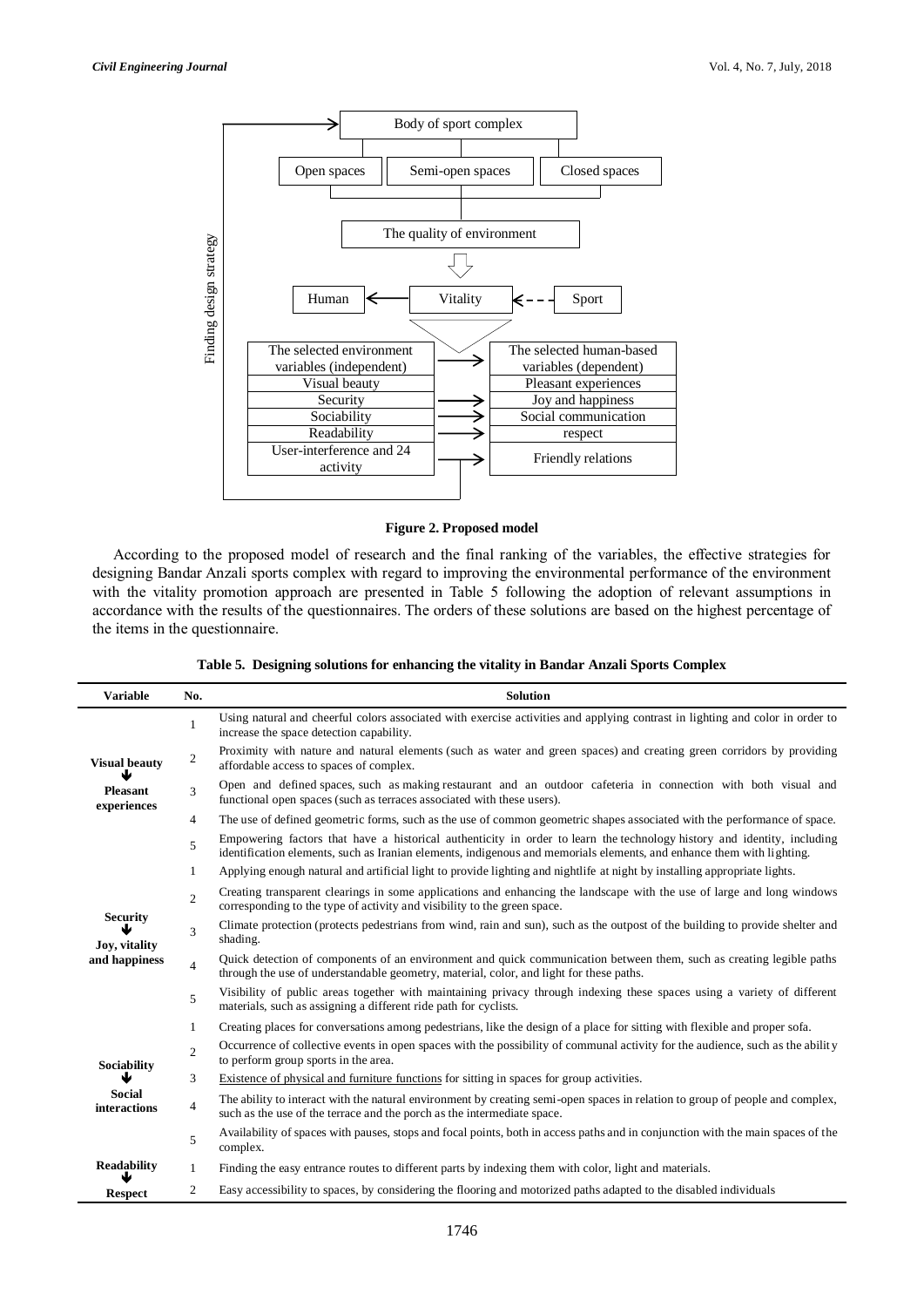

# **Figure 2. Proposed model**

According to the proposed model of research and the final ranking of the variables, the effective strategies for designing Bandar Anzali sports complex with regard to improving the environmental performance of the environment with the vitality promotion approach are presented in Table 5 following the adoption of relevant assumptions in accordance with the results of the questionnaires. The orders of these solutions are based on the highest percentage of the items in the questionnaire.

|  |  |  | Table 5. Designing solutions for enhancing the vitality in Bandar Anzali Sports Complex |  |
|--|--|--|-----------------------------------------------------------------------------------------|--|
|  |  |  |                                                                                         |  |

| <b>Variable</b>                                        | No.            | <b>Solution</b>                                                                                                                                                                                                                                  |
|--------------------------------------------------------|----------------|--------------------------------------------------------------------------------------------------------------------------------------------------------------------------------------------------------------------------------------------------|
| <b>Visual beauty</b><br><b>Pleasant</b><br>experiences | 1              | Using natural and cheerful colors associated with exercise activities and applying contrast in lighting and color in order to<br>increase the space detection capability.                                                                        |
|                                                        | $\overline{c}$ | Proximity with nature and natural elements (such as water and green spaces) and creating green corridors by providing<br>affordable access to spaces of complex.                                                                                 |
|                                                        | 3              | Open and defined spaces, such as making restaurant and an outdoor cafeteria in connection with both visual and<br>functional open spaces (such as terraces associated with these users).                                                         |
|                                                        | 4              | The use of defined geometric forms, such as the use of common geometric shapes associated with the performance of space.                                                                                                                         |
|                                                        | 5              | Empowering factors that have a historical authenticity in order to learn the technology history and identity, including<br>identification elements, such as Iranian elements, indigenous and memorials elements, and enhance them with lighting. |
|                                                        | 1              | Applying enough natural and artificial light to provide lighting and nightlife at night by installing appropriate lights.                                                                                                                        |
| <b>Security</b><br>Joy, vitality<br>and happiness      | $\overline{2}$ | Creating transparent clearings in some applications and enhancing the landscape with the use of large and long windows<br>corresponding to the type of activity and visibility to the green space.                                               |
|                                                        | 3              | Climate protection (protects pedestrians from wind, rain and sun), such as the outpost of the building to provide shelter and<br>shading.                                                                                                        |
|                                                        | $\overline{4}$ | Quick detection of components of an environment and quick communication between them, such as creating legible paths<br>through the use of understandable geometry, material, color, and light for these paths.                                  |
|                                                        | 5              | Visibility of public areas together with maintaining privacy through indexing these spaces using a variety of different<br>materials, such as assigning a different ride path for cyclists.                                                      |
|                                                        | $\mathbf{1}$   | Creating places for conversations among pedestrians, like the design of a place for sitting with flexible and proper sofa.                                                                                                                       |
| Sociability<br><b>Social</b><br>interactions           | $\overline{c}$ | Occurrence of collective events in open spaces with the possibility of communal activity for the audience, such as the ability<br>to perform group sports in the area.                                                                           |
|                                                        | 3              | Existence of physical and furniture functions for sitting in spaces for group activities.                                                                                                                                                        |
|                                                        | 4              | The ability to interact with the natural environment by creating semi-open spaces in relation to group of people and complex,<br>such as the use of the terrace and the porch as the intermediate space.                                         |
|                                                        | 5              | Availability of spaces with pauses, stops and focal points, both in access paths and in conjunction with the main spaces of the<br>complex.                                                                                                      |
| <b>Readability</b>                                     | $\mathbf{1}$   | Finding the easy entrance routes to different parts by indexing them with color, light and materials.                                                                                                                                            |
| <b>Respect</b>                                         | 2              | Easy accessibility to spaces, by considering the flooring and motorized paths adapted to the disabled individuals                                                                                                                                |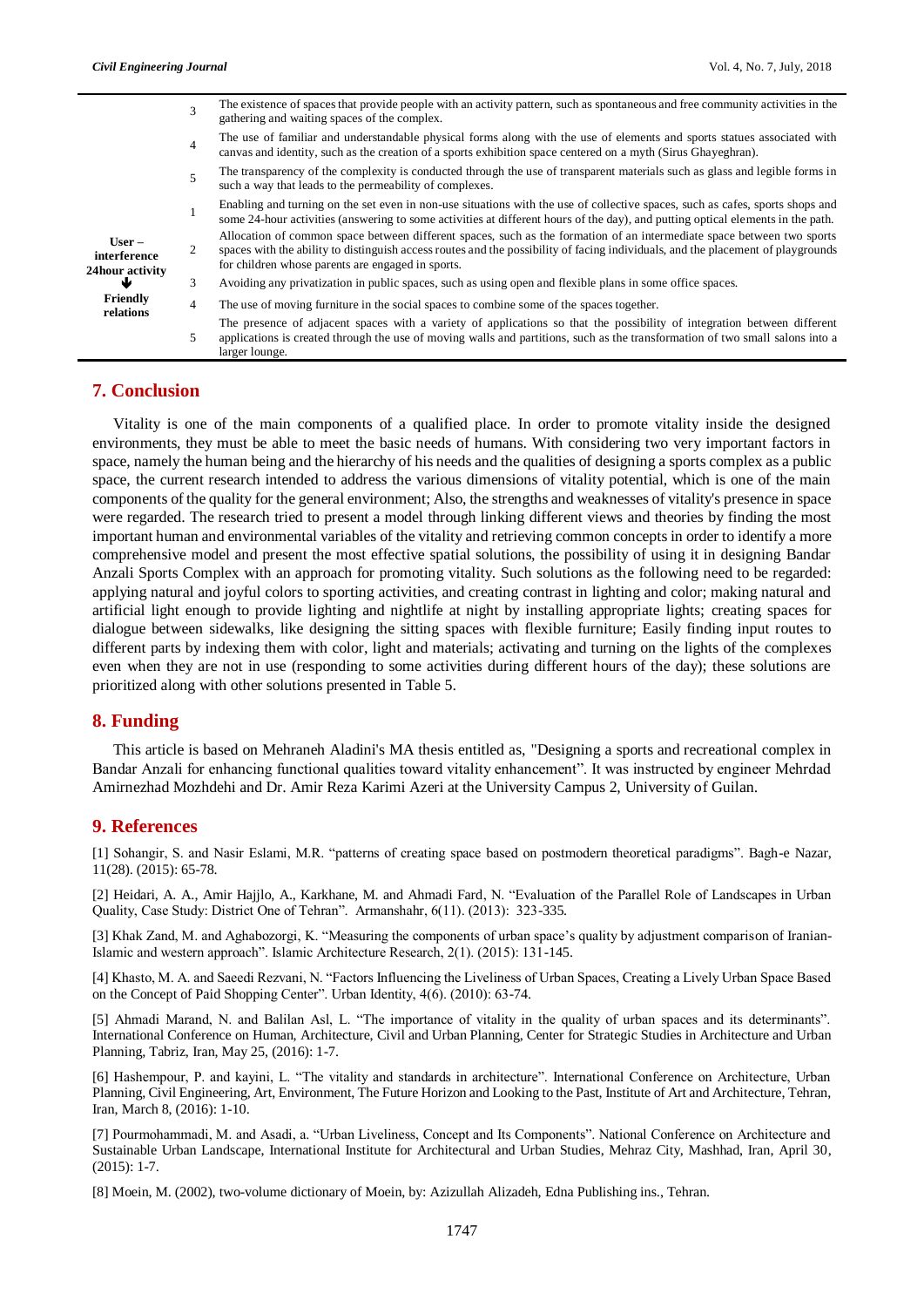|                                                  | 3              | The existence of spaces that provide people with an activity pattern, such as spontaneous and free community activities in the<br>gathering and waiting spaces of the complex.                                                                                                                                  |
|--------------------------------------------------|----------------|-----------------------------------------------------------------------------------------------------------------------------------------------------------------------------------------------------------------------------------------------------------------------------------------------------------------|
|                                                  | $\overline{4}$ | The use of familiar and understandable physical forms along with the use of elements and sports statues associated with<br>canvas and identity, such as the creation of a sports exhibition space centered on a myth (Sirus Ghayeghran).                                                                        |
|                                                  | 5              | The transparency of the complexity is conducted through the use of transparent materials such as glass and legible forms in<br>such a way that leads to the permeability of complexes.                                                                                                                          |
| $User -$<br>interference<br>24hour activity<br>₩ |                | Enabling and turning on the set even in non-use situations with the use of collective spaces, such as cafes, sports shops and<br>some 24-hour activities (answering to some activities at different hours of the day), and putting optical elements in the path.                                                |
|                                                  | 2              | Allocation of common space between different spaces, such as the formation of an intermediate space between two sports<br>spaces with the ability to distinguish access routes and the possibility of facing individuals, and the placement of playgrounds<br>for children whose parents are engaged in sports. |
|                                                  | 3              | Avoiding any privatization in public spaces, such as using open and flexible plans in some office spaces.                                                                                                                                                                                                       |
| Friendly<br>relations                            | $\overline{4}$ | The use of moving furniture in the social spaces to combine some of the spaces together.                                                                                                                                                                                                                        |
|                                                  | 5              | The presence of adjacent spaces with a variety of applications so that the possibility of integration between different<br>applications is created through the use of moving walls and partitions, such as the transformation of two small salons into a<br>larger lounge.                                      |

## **7. Conclusion**

Vitality is one of the main components of a qualified place. In order to promote vitality inside the designed environments, they must be able to meet the basic needs of humans. With considering two very important factors in space, namely the human being and the hierarchy of his needs and the qualities of designing a sports complex as a public space, the current research intended to address the various dimensions of vitality potential, which is one of the main components of the quality for the general environment; Also, the strengths and weaknesses of vitality's presence in space were regarded. The research tried to present a model through linking different views and theories by finding the most important human and environmental variables of the vitality and retrieving common concepts in order to identify a more comprehensive model and present the most effective spatial solutions, the possibility of using it in designing Bandar Anzali Sports Complex with an approach for promoting vitality. Such solutions as the following need to be regarded: applying natural and joyful colors to sporting activities, and creating contrast in lighting and color; making natural and artificial light enough to provide lighting and nightlife at night by installing appropriate lights; creating spaces for dialogue between sidewalks, like designing the sitting spaces with flexible furniture; Easily finding input routes to different parts by indexing them with color, light and materials; activating and turning on the lights of the complexes even when they are not in use (responding to some activities during different hours of the day); these solutions are prioritized along with other solutions presented in Table 5.

## **8. Funding**

This article is based on Mehraneh Aladini's MA thesis entitled as, "Designing a sports and recreational complex in Bandar Anzali for enhancing functional qualities toward vitality enhancement". It was instructed by engineer Mehrdad Amirnezhad Mozhdehi and Dr. Amir Reza Karimi Azeri at the University Campus 2, University of Guilan.

## **9. References**

[1] Sohangir, S. and Nasir Eslami, M.R. "patterns of creating space based on postmodern theoretical paradigms". Bagh-e Nazar, 11(28). (2015): 65-78.

[2] Heidari, A. A., Amir Hajjlo, A., Karkhane, M. and Ahmadi Fard, N. "Evaluation of the Parallel Role of Landscapes in Urban Quality, Case Study: District One of Tehran". Armanshahr, 6(11). (2013): 323-335.

[3] Khak Zand, M. and Aghabozorgi, K. "Measuring the components of urban space's quality by adjustment comparison of Iranian-Islamic and western approach". Islamic Architecture Research, 2(1). (2015): 131-145.

[4] Khasto, M. A. and Saeedi Rezvani, N. "Factors Influencing the Liveliness of Urban Spaces, Creating a Lively Urban Space Based on the Concept of Paid Shopping Center". Urban Identity, 4(6). (2010): 63-74.

[5] Ahmadi Marand, N. and Balilan Asl, L. "The importance of vitality in the quality of urban spaces and its determinants". International Conference on Human, Architecture, Civil and Urban Planning, Center for Strategic Studies in Architecture and Urban Planning, Tabriz, Iran, May 25, (2016): 1-7.

[6] Hashempour, P. and kayini, L. "The vitality and standards in architecture". International Conference on Architecture, Urban Planning, Civil Engineering, Art, Environment, The Future Horizon and Looking to the Past, Institute of Art and Architecture, Tehran, Iran, March 8, (2016): 1-10.

[7] Pourmohammadi, M. and Asadi, a. "Urban Liveliness, Concept and Its Components". National Conference on Architecture and Sustainable Urban Landscape, International Institute for Architectural and Urban Studies, Mehraz City, Mashhad, Iran, April 30, (2015): 1-7.

[8] Moein, M. (2002), two-volume dictionary of Moein, by: Azizullah Alizadeh, Edna Publishing ins., Tehran.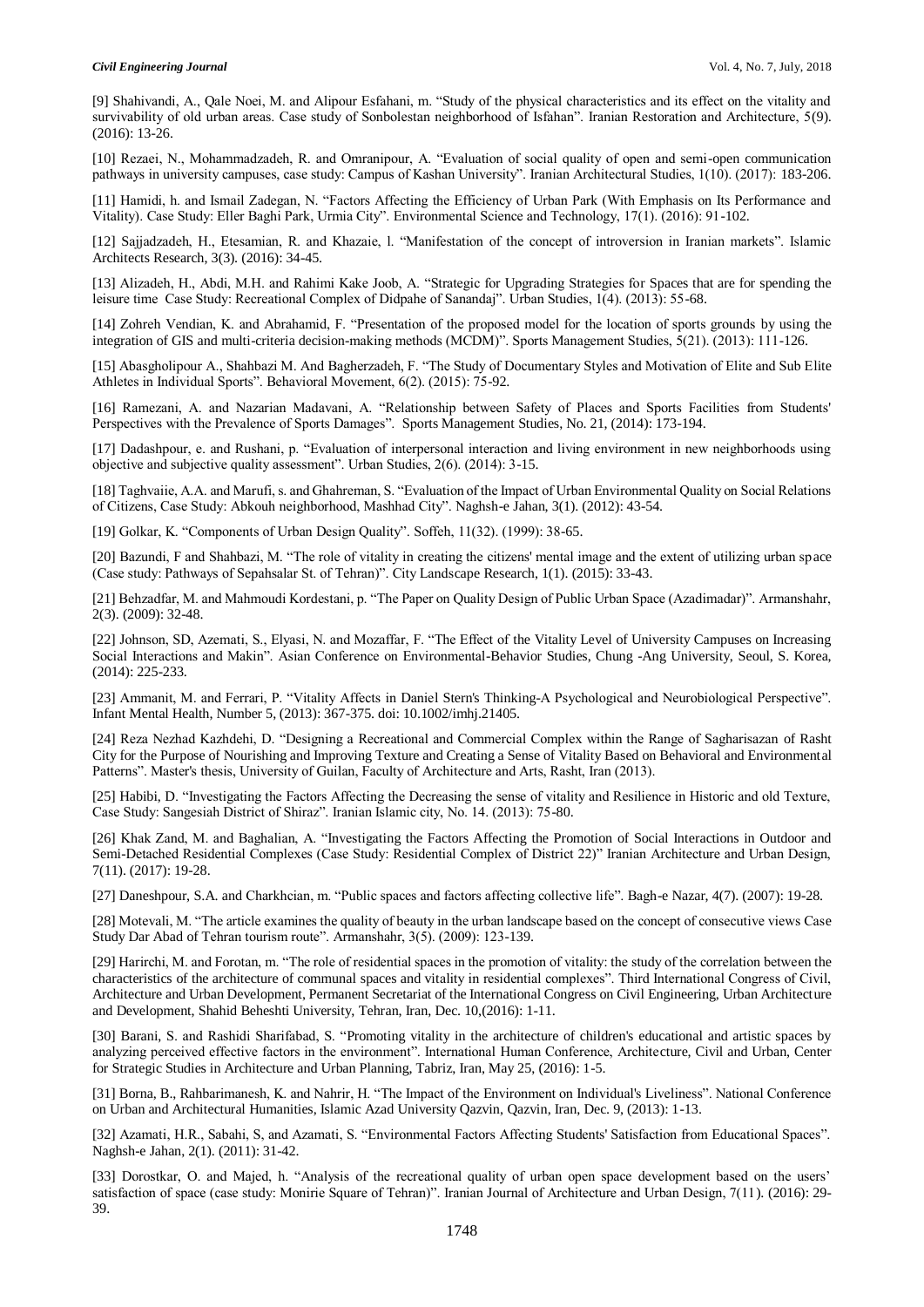[9] Shahivandi, A., Qale Noei, M. and Alipour Esfahani, m. "Study of the physical characteristics and its effect on the vitality and survivability of old urban areas. Case study of Sonbolestan neighborhood of Isfahan". Iranian Restoration and Architecture, 5(9). (2016): 13-26.

[10] Rezaei, N., Mohammadzadeh, R. and Omranipour, A. "Evaluation of social quality of open and semi-open communication pathways in university campuses, case study: Campus of Kashan University". Iranian Architectural Studies, 1(10). (2017): 183-206.

[11] Hamidi, h. and Ismail Zadegan, N. "Factors Affecting the Efficiency of Urban Park (With Emphasis on Its Performance and Vitality). Case Study: Eller Baghi Park, Urmia City". Environmental Science and Technology, 17(1). (2016): 91-102.

[12] Sajjadzadeh, H., Etesamian, R. and Khazaie, l. "Manifestation of the concept of introversion in Iranian markets". Islamic Architects Research, 3(3). (2016): 34-45.

[13] Alizadeh, H., Abdi, M.H. and Rahimi Kake Joob, A. "Strategic for Upgrading Strategies for Spaces that are for spending the leisure time Case Study: Recreational Complex of Didpahe of Sanandaj". Urban Studies, 1(4). (2013): 55-68.

[14] Zohreh Vendian, K. and Abrahamid, F. "Presentation of the proposed model for the location of sports grounds by using the integration of GIS and multi-criteria decision-making methods (MCDM)". Sports Management Studies, 5(21). (2013): 111-126.

[15] Abasgholipour A., Shahbazi M. And Bagherzadeh, F. "The Study of Documentary Styles and Motivation of Elite and Sub Elite Athletes in Individual Sports". Behavioral Movement, 6(2). (2015): 75-92.

[16] Ramezani, A. and Nazarian Madavani, A. "Relationship between Safety of Places and Sports Facilities from Students' Perspectives with the Prevalence of Sports Damages". Sports Management Studies, No. 21, (2014): 173-194.

[17] Dadashpour, e. and Rushani, p. "Evaluation of interpersonal interaction and living environment in new neighborhoods using objective and subjective quality assessment". Urban Studies, 2(6). (2014): 3-15.

[18] Taghvaiie, A.A. and Marufi, s. and Ghahreman, S. "Evaluation of the Impact of Urban Environmental Quality on Social Relations of Citizens, Case Study: Abkouh neighborhood, Mashhad City". Naghsh-e Jahan, 3(1). (2012): 43-54.

[19] Golkar, K. "Components of Urban Design Quality". Soffeh, 11(32). (1999): 38-65.

[20] Bazundi, F and Shahbazi, M. "The role of vitality in creating the citizens' mental image and the extent of utilizing urban space (Case study: Pathways of Sepahsalar St. of Tehran)". City Landscape Research, 1(1). (2015): 33-43.

[21] Behzadfar, M. and Mahmoudi Kordestani, p. "The Paper on Quality Design of Public Urban Space (Azadimadar)". Armanshahr, 2(3). (2009): 32-48.

[22] Johnson, SD, Azemati, S., Elyasi, N. and Mozaffar, F. "The Effect of the Vitality Level of University Campuses on Increasing Social Interactions and Makin". Asian Conference on Environmental-Behavior Studies, Chung -Ang University, Seoul, S. Korea, (2014): 225-233.

[23] Ammanit, M. and Ferrari, P. "Vitality Affects in Daniel Stern's Thinking-A Psychological and Neurobiological Perspective". Infant Mental Health, Number 5, (2013): 367-375. doi: 10.1002/imhj.21405.

[24] Reza Nezhad Kazhdehi, D. "Designing a Recreational and Commercial Complex within the Range of Sagharisazan of Rasht City for the Purpose of Nourishing and Improving Texture and Creating a Sense of Vitality Based on Behavioral and Environmental Patterns". Master's thesis, University of Guilan, Faculty of Architecture and Arts, Rasht, Iran (2013).

[25] Habibi, D. "Investigating the Factors Affecting the Decreasing the sense of vitality and Resilience in Historic and old Texture, Case Study: Sangesiah District of Shiraz". Iranian Islamic city, No. 14. (2013): 75-80.

[26] Khak Zand, M. and Baghalian, A. "Investigating the Factors Affecting the Promotion of Social Interactions in Outdoor and Semi-Detached Residential Complexes (Case Study: Residential Complex of District 22)" Iranian Architecture and Urban Design, 7(11). (2017): 19-28.

[27] Daneshpour, S.A. and Charkhcian, m. "Public spaces and factors affecting collective life". Bagh-e Nazar, 4(7). (2007): 19-28.

[28] Motevali, M. "The article examines the quality of beauty in the urban landscape based on the concept of consecutive views Case Study Dar Abad of Tehran tourism route". Armanshahr, 3(5). (2009): 123-139.

[29] Harirchi, M. and Forotan, m. "The role of residential spaces in the promotion of vitality: the study of the correlation between the characteristics of the architecture of communal spaces and vitality in residential complexes". Third International Congress of Civil, Architecture and Urban Development, Permanent Secretariat of the International Congress on Civil Engineering, Urban Architecture and Development, Shahid Beheshti University, Tehran, Iran, Dec. 10,(2016): 1-11.

[30] Barani, S. and Rashidi Sharifabad, S. "Promoting vitality in the architecture of children's educational and artistic spaces by analyzing perceived effective factors in the environment". International Human Conference, Architecture, Civil and Urban, Center for Strategic Studies in Architecture and Urban Planning, Tabriz, Iran, May 25, (2016): 1-5.

[31] Borna, B., Rahbarimanesh, K. and Nahrir, H. "The Impact of the Environment on Individual's Liveliness". National Conference on Urban and Architectural Humanities, Islamic Azad University Qazvin, Qazvin, Iran, Dec. 9, (2013): 1-13.

[32] Azamati, H.R., Sabahi, S, and Azamati, S. "Environmental Factors Affecting Students' Satisfaction from Educational Spaces". Naghsh-e Jahan, 2(1). (2011): 31-42.

[33] Dorostkar, O. and Majed, h. "Analysis of the recreational quality of urban open space development based on the users' satisfaction of space (case study: Monirie Square of Tehran)". Iranian Journal of Architecture and Urban Design, 7(11). (2016): 29- 39.